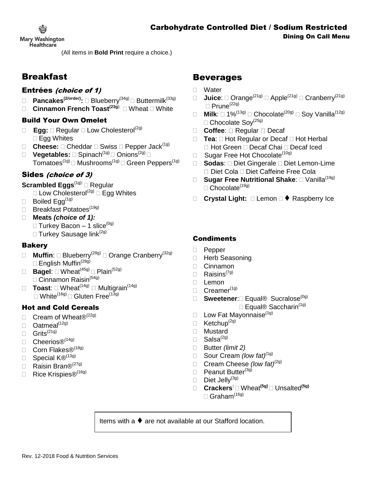

**Mary Washington Healthcare** 

(All items in **Bold Print** require a choice.)

# Breakfast

## Entrées (choice of 1)

- **Pancakes(2/order):** Blueberry(34g) Buttermilk(33g)
- **Cinnamon French Toast<sup>(23g):</sup> □ Wheat □ White**

### Build Your Own Omelet

- □ Egg: □ Regular □ Low Cholesterol<sup>(2g)</sup> □ Egg Whites
- $\Box$  **Cheese:**  $\Box$  Cheddar  $\Box$  Swiss  $\Box$  Pepper Jack<sup>(1g)</sup>
- □ Vegetables: □ Spinach<sup>(1g)</sup> □ Onions<sup>(2g)</sup> □ Tomatoes<sup>(1g)</sup>  $\Box$  Mushrooms<sup>(1g)</sup>  $\Box$  Green Peppers<sup>(1g)</sup>

## Sides (choice of 3)

### **Scrambled Eggs**<sup>(1g):</sup> □ Regular

- $\square$  Low Cholesterol<sup>(2g)</sup>  $\square$  Egg Whites
- $\Box$  Boiled Egg<sup>(1g)</sup>
- $\Box$  Breakfast Potatoes<sup>(19g)</sup>

## **Meats** *(choice of 1):*

- $\Box$  Turkey Bacon 1 slice<sup>(0g)</sup>
- $\Box$  Turkey Sausage link<sup>(2g)</sup>

### Bakery

- **Muffin**: □ Blueberry<sup>(28g)</sup> □ Orange Cranberry<sup>(32g)</sup> □ English Muffin<sup>(28g)</sup>
- $\Box$  **Bagel:**  $\Box$  Wheat<sup>(45g)</sup>  $\Box$  Plain<sup>(52g)</sup>  $\Box$  Cinnamon Raisin<sup>(54g)</sup>
- $\Box$  **Toast:**  $\Box$  Wheat<sup>(14g)</sup>  $\Box$  Multigrain<sup>(14g)</sup> □ White<sup>(16g)</sup> □ Gluten Free<sup>(13g)</sup>

## Hot and Cold Cereals

- $\Box$  Cream of Wheat $\mathcal{D}^{(22g)}$
- $\Box$  Oatmeal<sup>(12g)</sup>
- $\Box$  Grits<sup>(21g)</sup>
- $\Box$  Cheerios $\circledR^{(\mathsf{14g})}$
- □ Corn Flakes®<sup>(18g)</sup>
- □ Special K®<sup>(13g)</sup>
- Raisin Bran $\mathbb{B}^{(279)}$
- □ Rice Krispies®<sup>(16g)</sup>

# Beverages

- Water
- **Juice**: Orange(21g) Apple(21g) Cranberry(21g)  $\Box$  Prune<sup>(22g)</sup>
- **Milk:**  $\Box$  1%<sup>(13g)</sup>  $\Box$  Chocolate<sup>(20g)</sup>  $\Box$  Soy Vanilla<sup>(12g)</sup>  $\Box$  Chocolate Sov<sup>(25g)</sup>
- □ Coffee: □ Regular □ Decaf
- $\Box$  **Tea**:  $\Box$  Hot Regular or Decaf  $\Box$  Hot Herbal □ Hot Green □ Decaf Chai □ Decaf Iced
- □ Sugar Free Hot Chocolate<sup>(10g)</sup>
- □ **Sodas**: □ Diet Gingerale □ Diet Lemon-Lime □ Diet Cola □ Diet Caffeine Free Cola
- □ Sugar Free Nutritional Shake: □ Vanilla<sup>(19g)</sup>  $\Box$  Chocolate<sup>(19g)</sup>
- **Crystal Light:**  Lemon ♦ Raspberry Ice

## **Condiments**

- D Pepper
- □ Herb Seasoning
- Cinnamon
- $\Box$  Raisins<sup>(7g)</sup>
- $\Box$  Lemon
- $\Box$  Creamer<sup>(1g)</sup>
- □ **Sweetener:**□ Equal® Sucralose<sup>(0g)</sup>
	- $\Box$  Equal® Saccharin<sup>(1g)</sup>
- **Low Fat Mayonnaise**<sup>(1g)</sup>
- $\Box$  Ketchup<sup>(2g)</sup>
- Mustard
- $\Box$  Salsa<sup>(2g)</sup>
- Butter *(limit 2)*
- Sour Cream *(low fat)(*1g)
- Cream Cheese *(low fat)*(2g)
- D Peanut Butter<sup>(3g)</sup>
- $\Box$  Diet Jelly<sup>(3g)</sup>
- **Crackers:**  Wheat**(5g)**  Unsalted**(5g)**  $\Box$  Graham<sup>(16g)</sup>

Items with a ♦ are not available at our Stafford location.